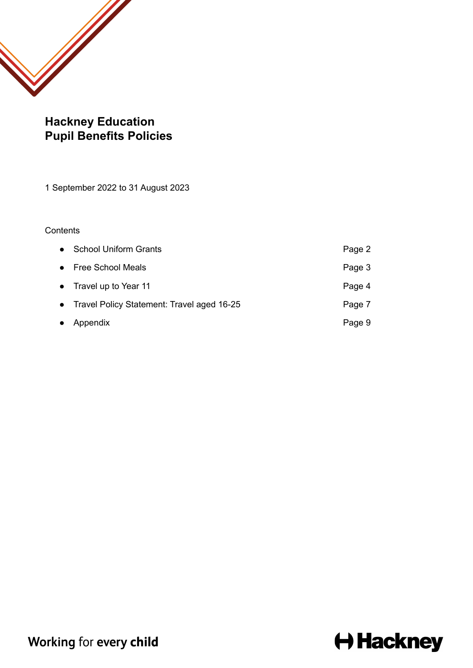

# **Hackney Education Pupil Benefits Policies**

1 September 2022 to 31 August 2023

### **Contents**

|           | • School Uniform Grants                      | Page 2 |
|-----------|----------------------------------------------|--------|
|           | • Free School Meals                          | Page 3 |
|           | • Travel up to Year 11                       | Page 4 |
|           | • Travel Policy Statement: Travel aged 16-25 | Page 7 |
| $\bullet$ | Appendix                                     | Page 9 |

# **← Hackney**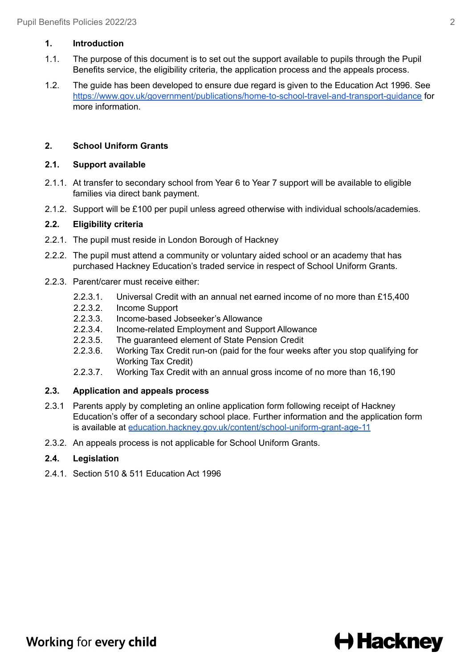#### **1. Introduction**

- 1.1. The purpose of this document is to set out the support available to pupils through the Pupil Benefits service, the eligibility criteria, the application process and the appeals process.
- 1.2. The guide has been developed to ensure due regard is given to the Education Act 1996. See <https://www.gov.uk/government/publications/home-to-school-travel-and-transport-guidance> for more information.

# **2. School Uniform Grants**

#### **2.1. Support available**

- 2.1.1. At transfer to secondary school from Year 6 to Year 7 support will be available to eligible families via direct bank payment.
- 2.1.2. Support will be £100 per pupil unless agreed otherwise with individual schools/academies.

### **2.2. Eligibility criteria**

- 2.2.1. The pupil must reside in London Borough of Hackney
- 2.2.2. The pupil must attend a community or voluntary aided school or an academy that has purchased Hackney Education's traded service in respect of School Uniform Grants.
- 2.2.3. Parent/carer must receive either:
	- 2.2.3.1. Universal Credit with an annual net earned income of no more than £15,400
	- 2.2.3.2. Income Support
	- 2.2.3.3. Income-based Jobseeker's Allowance
	- 2.2.3.4. Income-related Employment and Support Allowance
	- 2.2.3.5. The guaranteed element of State Pension Credit
	- 2.2.3.6. Working Tax Credit run-on (paid for the four weeks after you stop qualifying for Working Tax Credit)
	- 2.2.3.7. Working Tax Credit with an annual gross income of no more than 16,190

# **2.3. Application and appeals process**

- 2.3.1 Parents apply by completing an online application form following receipt of Hackney Education's offer of a secondary school place. Further information and the application form is available at [education.hackney.gov.uk/content/school-uniform-grant-age-11](https://education.hackney.gov.uk/content/school-uniform-grant-age-11)
- 2.3.2. An appeals process is not applicable for School Uniform Grants.

# **2.4. Legislation**

2.4.1. Section 510 & 511 Education Act 1996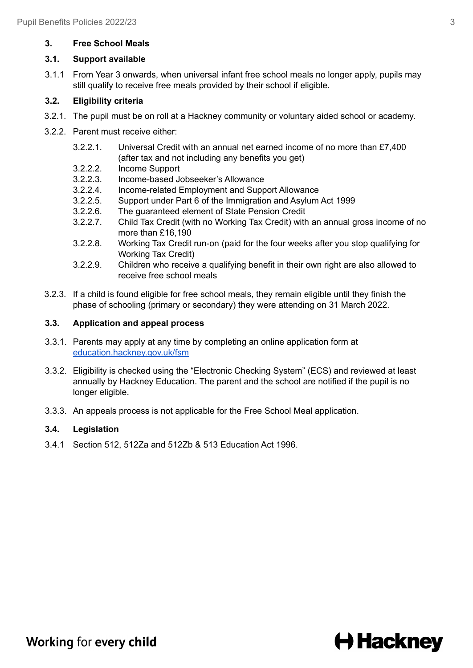# **3. Free School Meals**

# **3.1. Support available**

3.1.1 From Year 3 onwards, when universal infant free school meals no longer apply, pupils may still qualify to receive free meals provided by their school if eligible.

# **3.2. Eligibility criteria**

- 3.2.1. The pupil must be on roll at a Hackney community or voluntary aided school or academy.
- 3.2.2. Parent must receive either:
	- 3.2.2.1. Universal Credit with an annual net earned income of no more than £7,400 (after tax and not including any benefits you get)
	- 3.2.2.2. Income Support
	- 3.2.2.3. Income-based Jobseeker's Allowance
	- 3.2.2.4. Income-related Employment and Support Allowance
	- 3.2.2.5. Support under Part 6 of the Immigration and Asylum Act 1999
	- 3.2.2.6. The guaranteed element of State Pension Credit
	- 3.2.2.7. Child Tax Credit (with no Working Tax Credit) with an annual gross income of no more than £16,190
	- 3.2.2.8. Working Tax Credit run-on (paid for the four weeks after you stop qualifying for Working Tax Credit)
	- 3.2.2.9. Children who receive a qualifying benefit in their own right are also allowed to receive free school meals
- 3.2.3. If a child is found eligible for free school meals, they remain eligible until they finish the phase of schooling (primary or secondary) they were attending on 31 March 2022.

### **3.3. Application and appeal process**

- 3.3.1. Parents may apply at any time by completing an online application form at [education.hackney.gov.uk/fsm](http://education.hackney.gov.uk/fsm)
- 3.3.2. Eligibility is checked using the "Electronic Checking System" (ECS) and reviewed at least annually by Hackney Education. The parent and the school are notified if the pupil is no longer eligible.
- 3.3.3. An appeals process is not applicable for the Free School Meal application.

# **3.4. Legislation**

3.4.1 Section 512, 512Za and 512Zb & 513 Education Act 1996.

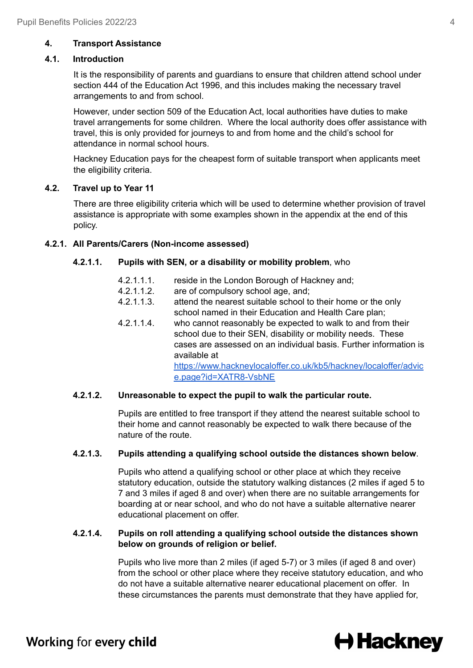# **4. Transport Assistance**

#### **4.1. Introduction**

It is the responsibility of parents and guardians to ensure that children attend school under section 444 of the Education Act 1996, and this includes making the necessary travel arrangements to and from school.

However, under section 509 of the Education Act, local authorities have duties to make travel arrangements for some children. Where the local authority does offer assistance with travel, this is only provided for journeys to and from home and the child's school for attendance in normal school hours.

Hackney Education pays for the cheapest form of suitable transport when applicants meet the eligibility criteria.

### **4.2. Travel up to Year 11**

There are three eligibility criteria which will be used to determine whether provision of travel assistance is appropriate with some examples shown in the appendix at the end of this policy.

### **4.2.1. All Parents/Carers (Non-income assessed)**

### **4.2.1.1. Pupils with SEN, or a disability or mobility problem**, who

- 4.2.1.1.1. reside in the London Borough of Hackney and;
- 4.2.1.1.2. are of compulsory school age, and;
- 4.2.1.1.3. attend the nearest suitable school to their home or the only school named in their Education and Health Care plan;
- 4.2.1.1.4. who cannot reasonably be expected to walk to and from their school due to their SEN, disability or mobility needs. These cases are assessed on an individual basis. Further information is available at

[https://www.hackneylocaloffer.co.uk/kb5/hackney/localoffer/advic](https://www.hackneylocaloffer.co.uk/kb5/hackney/localoffer/advice.page?id=XATR8-VsbNE) [e.page?id=XATR8-VsbNE](https://www.hackneylocaloffer.co.uk/kb5/hackney/localoffer/advice.page?id=XATR8-VsbNE)

# **4.2.1.2. Unreasonable to expect the pupil to walk the particular route.**

Pupils are entitled to free transport if they attend the nearest suitable school to their home and cannot reasonably be expected to walk there because of the nature of the route.

#### **4.2.1.3. Pupils attending a qualifying school outside the distances shown below**.

Pupils who attend a qualifying school or other place at which they receive statutory education, outside the statutory walking distances (2 miles if aged 5 to 7 and 3 miles if aged 8 and over) when there are no suitable arrangements for boarding at or near school, and who do not have a suitable alternative nearer educational placement on offer.

#### **4.2.1.4. Pupils on roll attending a qualifying school outside the distances shown below on grounds of religion or belief.**

Pupils who live more than 2 miles (if aged 5-7) or 3 miles (if aged 8 and over) from the school or other place where they receive statutory education, and who do not have a suitable alternative nearer educational placement on offer. In these circumstances the parents must demonstrate that they have applied for,

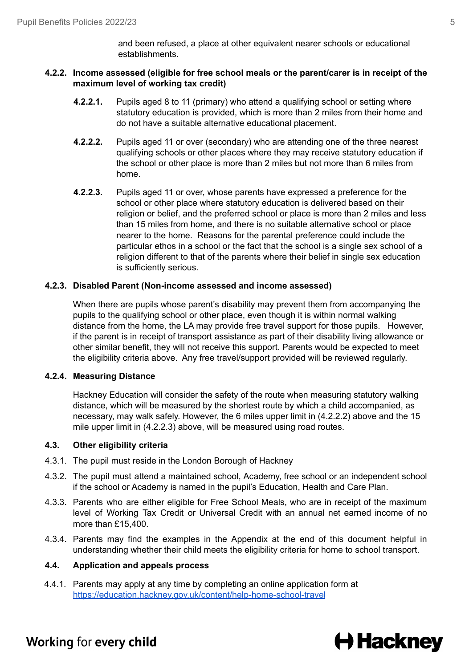and been refused, a place at other equivalent nearer schools or educational establishments.

#### **4.2.2. Income assessed (eligible for free school meals or the parent/carer is in receipt of the maximum level of working tax credit)**

- **4.2.2.1.** Pupils aged 8 to 11 (primary) who attend a qualifying school or setting where statutory education is provided, which is more than 2 miles from their home and do not have a suitable alternative educational placement.
- **4.2.2.2.** Pupils aged 11 or over (secondary) who are attending one of the three nearest qualifying schools or other places where they may receive statutory education if the school or other place is more than 2 miles but not more than 6 miles from home.
- **4.2.2.3.** Pupils aged 11 or over, whose parents have expressed a preference for the school or other place where statutory education is delivered based on their religion or belief, and the preferred school or place is more than 2 miles and less than 15 miles from home, and there is no suitable alternative school or place nearer to the home. Reasons for the parental preference could include the particular ethos in a school or the fact that the school is a single sex school of a religion different to that of the parents where their belief in single sex education is sufficiently serious.

#### **4.2.3. Disabled Parent (Non-income assessed and income assessed)**

When there are pupils whose parent's disability may prevent them from accompanying the pupils to the qualifying school or other place, even though it is within normal walking distance from the home, the LA may provide free travel support for those pupils. However, if the parent is in receipt of transport assistance as part of their disability living allowance or other similar benefit, they will not receive this support. Parents would be expected to meet the eligibility criteria above. Any free travel/support provided will be reviewed regularly.

#### **4.2.4. Measuring Distance**

Hackney Education will consider the safety of the route when measuring statutory walking distance, which will be measured by the shortest route by which a child accompanied, as necessary, may walk safely. However, the 6 miles upper limit in (4.2.2.2) above and the 15 mile upper limit in (4.2.2.3) above, will be measured using road routes.

#### **4.3. Other eligibility criteria**

- 4.3.1. The pupil must reside in the London Borough of Hackney
- 4.3.2. The pupil must attend a maintained school, Academy, free school or an independent school if the school or Academy is named in the pupil's Education, Health and Care Plan.
- 4.3.3. Parents who are either eligible for Free School Meals, who are in receipt of the maximum level of Working Tax Credit or Universal Credit with an annual net earned income of no more than £15,400.
- 4.3.4. Parents may find the examples in the Appendix at the end of this document helpful in understanding whether their child meets the eligibility criteria for home to school transport.

#### **4.4. Application and appeals process**

4.4.1. Parents may apply at any time by completing an online application form at <https://education.hackney.gov.uk/content/help-home-school-travel>

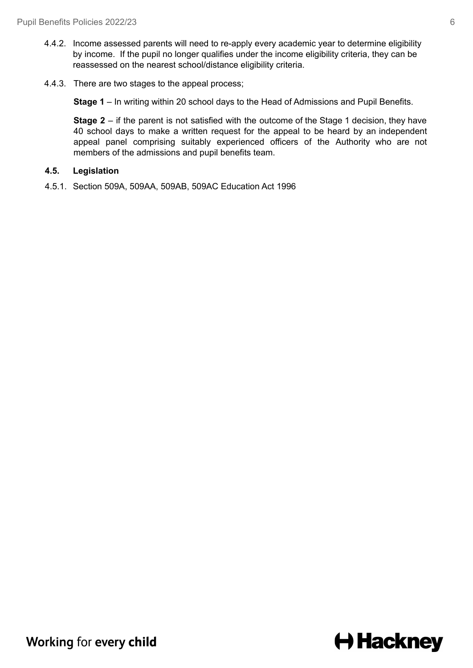- 4.4.2. Income assessed parents will need to re-apply every academic year to determine eligibility by income. If the pupil no longer qualifies under the income eligibility criteria, they can be reassessed on the nearest school/distance eligibility criteria.
- 4.4.3. There are two stages to the appeal process;

**Stage 1** – In writing within 20 school days to the Head of Admissions and Pupil Benefits.

**Stage** 2 – if the parent is not satisfied with the outcome of the Stage 1 decision, they have 40 school days to make a written request for the appeal to be heard by an independent appeal panel comprising suitably experienced officers of the Authority who are not members of the admissions and pupil benefits team.

#### **4.5. Legislation**

4.5.1. Section 509A, 509AA, 509AB, 509AC Education Act 1996

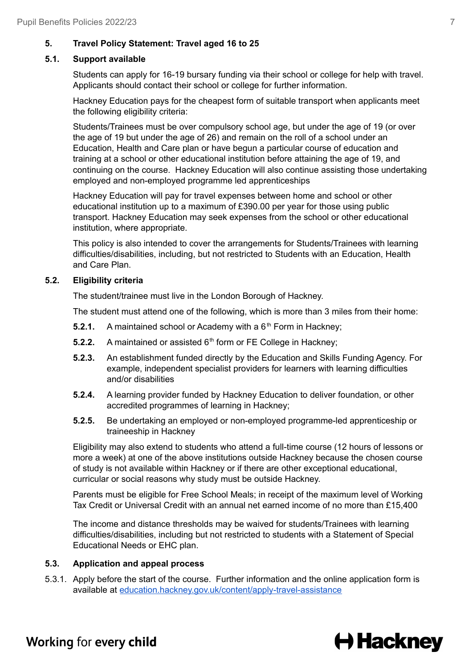# **5. Travel Policy Statement: Travel aged 16 to 25**

### **5.1. Support available**

Students can apply for 16-19 bursary funding via their school or college for help with travel. Applicants should contact their school or college for further information.

Hackney Education pays for the cheapest form of suitable transport when applicants meet the following eligibility criteria:

Students/Trainees must be over compulsory school age, but under the age of 19 (or over the age of 19 but under the age of 26) and remain on the roll of a school under an Education, Health and Care plan or have begun a particular course of education and training at a school or other educational institution before attaining the age of 19, and continuing on the course. Hackney Education will also continue assisting those undertaking employed and non-employed programme led apprenticeships

Hackney Education will pay for travel expenses between home and school or other educational institution up to a maximum of £390.00 per year for those using public transport. Hackney Education may seek expenses from the school or other educational institution, where appropriate.

This policy is also intended to cover the arrangements for Students/Trainees with learning difficulties/disabilities, including, but not restricted to Students with an Education, Health and Care Plan.

### **5.2. Eligibility criteria**

The student/trainee must live in the London Borough of Hackney.

The student must attend one of the following, which is more than 3 miles from their home:

- **5.2.1.** A maintained school or Academy with a  $6<sup>th</sup>$  Form in Hackney;
- **5.2.2.** A maintained or assisted 6<sup>th</sup> form or FE College in Hackney;
- **5.2.3.** An establishment funded directly by the Education and Skills Funding Agency. For example, independent specialist providers for learners with learning difficulties and/or disabilities
- **5.2.4.** A learning provider funded by Hackney Education to deliver foundation, or other accredited programmes of learning in Hackney;
- **5.2.5.** Be undertaking an employed or non-employed programme-led apprenticeship or traineeship in Hackney

Eligibility may also extend to students who attend a full-time course (12 hours of lessons or more a week) at one of the above institutions outside Hackney because the chosen course of study is not available within Hackney or if there are other exceptional educational, curricular or social reasons why study must be outside Hackney.

Parents must be eligible for Free School Meals; in receipt of the maximum level of Working Tax Credit or Universal Credit with an annual net earned income of no more than £15,400

The income and distance thresholds may be waived for students/Trainees with learning difficulties/disabilities, including but not restricted to students with a Statement of Special Educational Needs or EHC plan.

# **5.3. Application and appeal process**

5.3.1. Apply before the start of the course. Further information and the online application form is available at [education.hackney.gov.uk/content/apply-travel-assistance](https://education.hackney.gov.uk/content/apply-travel-assistance)

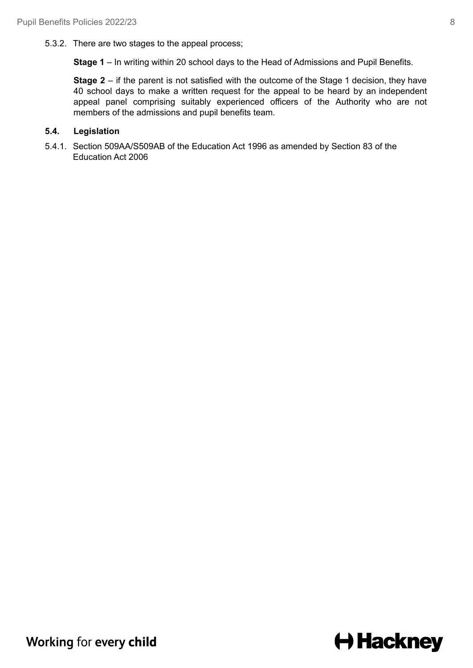5.3.2. There are two stages to the appeal process;

**Stage 1** – In writing within 20 school days to the Head of Admissions and Pupil Benefits.

**Stage 2** – if the parent is not satisfied with the outcome of the Stage 1 decision, they have 40 school days to make a written request for the appeal to be heard by an independent appeal panel comprising suitably experienced officers of the Authority who are not members of the admissions and pupil benefits team.

### **5.4. Legislation**

5.4.1. Section 509AA/S509AB of the Education Act 1996 as amended by Section 83 of the Education Act 2006